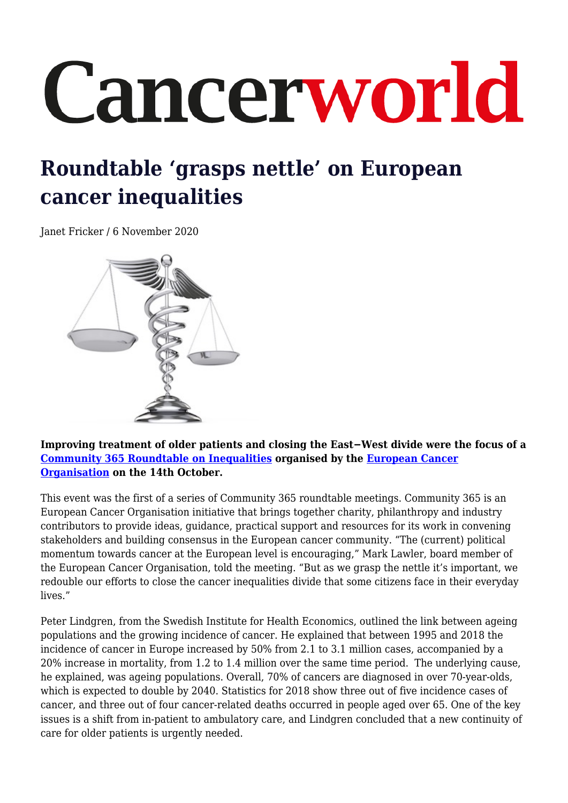## Cancerworld

## **Roundtable 'grasps nettle' on European cancer inequalities**

Janet Fricker / 6 November 2020



**Improving treatment of older patients and closing the East−West divide were the focus of a [Community 365 Roundtable on Inequalities](https://www.europeancancer.org/events/67:inequalities-roundtable.html) organised by the [European Cancer](https://www.europeancancer.org/) [Organisation](https://www.europeancancer.org/) on the 14th October.**

This event was the first of a series of Community 365 roundtable meetings. Community 365 is an European Cancer Organisation initiative that brings together charity, philanthropy and industry contributors to provide ideas, guidance, practical support and resources for its work in convening stakeholders and building consensus in the European cancer community. "The (current) political momentum towards cancer at the European level is encouraging," Mark Lawler, board member of the European Cancer Organisation, told the meeting. "But as we grasp the nettle it's important, we redouble our efforts to close the cancer inequalities divide that some citizens face in their everyday lives."

Peter Lindgren, from the Swedish Institute for Health Economics, outlined the link between ageing populations and the growing incidence of cancer. He explained that between 1995 and 2018 the incidence of cancer in Europe increased by 50% from 2.1 to 3.1 million cases, accompanied by a 20% increase in mortality, from 1.2 to 1.4 million over the same time period. The underlying cause, he explained, was ageing populations. Overall, 70% of cancers are diagnosed in over 70-year-olds, which is expected to double by 2040. Statistics for 2018 show three out of five incidence cases of cancer, and three out of four cancer-related deaths occurred in people aged over 65. One of the key issues is a shift from in-patient to ambulatory care, and Lindgren concluded that a new continuity of care for older patients is urgently needed.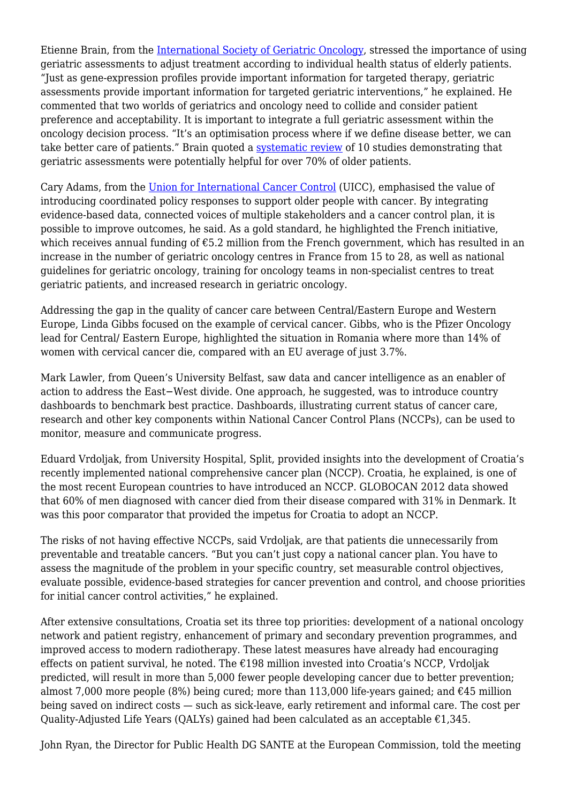Etienne Brain, from the [International Society of Geriatric Oncology](https://www.siog.org/), stressed the importance of using geriatric assessments to adjust treatment according to individual health status of elderly patients. "Just as gene-expression profiles provide important information for targeted therapy, geriatric assessments provide important information for targeted geriatric interventions," he explained. He commented that two worlds of geriatrics and oncology need to collide and consider patient preference and acceptability. It is important to integrate a full geriatric assessment within the oncology decision process. "It's an optimisation process where if we define disease better, we can take better care of patients." Brain quoted a [systematic review](https://www.tandfonline.com/doi/full/10.3109/0284186X.2013.840741) of 10 studies demonstrating that geriatric assessments were potentially helpful for over 70% of older patients.

Cary Adams, from the [Union for International Cancer Control](https://www.uicc.org/) (UICC), emphasised the value of introducing coordinated policy responses to support older people with cancer. By integrating evidence-based data, connected voices of multiple stakeholders and a cancer control plan, it is possible to improve outcomes, he said. As a gold standard, he highlighted the French initiative, which receives annual funding of €5.2 million from the French government, which has resulted in an increase in the number of geriatric oncology centres in France from 15 to 28, as well as national guidelines for geriatric oncology, training for oncology teams in non-specialist centres to treat geriatric patients, and increased research in geriatric oncology.

Addressing the gap in the quality of cancer care between Central/Eastern Europe and Western Europe, Linda Gibbs focused on the example of cervical cancer. Gibbs, who is the Pfizer Oncology lead for Central/ Eastern Europe, highlighted the situation in Romania where more than 14% of women with cervical cancer die, compared with an EU average of just 3.7%.

Mark Lawler, from Queen's University Belfast, saw data and cancer intelligence as an enabler of action to address the East−West divide. One approach, he suggested, was to introduce country dashboards to benchmark best practice. Dashboards, illustrating current status of cancer care, research and other key components within National Cancer Control Plans (NCCPs), can be used to monitor, measure and communicate progress.

Eduard Vrdoljak, from University Hospital, Split, provided insights into the development of Croatia's recently implemented national comprehensive cancer plan (NCCP). Croatia, he explained, is one of the most recent European countries to have introduced an NCCP. GLOBOCAN 2012 data showed that 60% of men diagnosed with cancer died from their disease compared with 31% in Denmark. It was this poor comparator that provided the impetus for Croatia to adopt an NCCP.

The risks of not having effective NCCPs, said Vrdoljak, are that patients die unnecessarily from preventable and treatable cancers. "But you can't just copy a national cancer plan. You have to assess the magnitude of the problem in your specific country, set measurable control objectives, evaluate possible, evidence-based strategies for cancer prevention and control, and choose priorities for initial cancer control activities," he explained.

After extensive consultations, Croatia set its three top priorities: development of a national oncology network and patient registry, enhancement of primary and secondary prevention programmes, and improved access to modern radiotherapy. These latest measures have already had encouraging effects on patient survival, he noted. The  $\epsilon$ 198 million invested into Croatia's NCCP, Vrdoliak predicted, will result in more than 5,000 fewer people developing cancer due to better prevention; almost 7,000 more people (8%) being cured; more than 113,000 life-years gained; and  $\epsilon$ 45 million being saved on indirect costs — such as sick-leave, early retirement and informal care. The cost per Quality-Adjusted Life Years (QALYs) gained had been calculated as an acceptable  $£1,345.$ 

John Ryan, the Director for Public Health DG SANTE at the European Commission, told the meeting